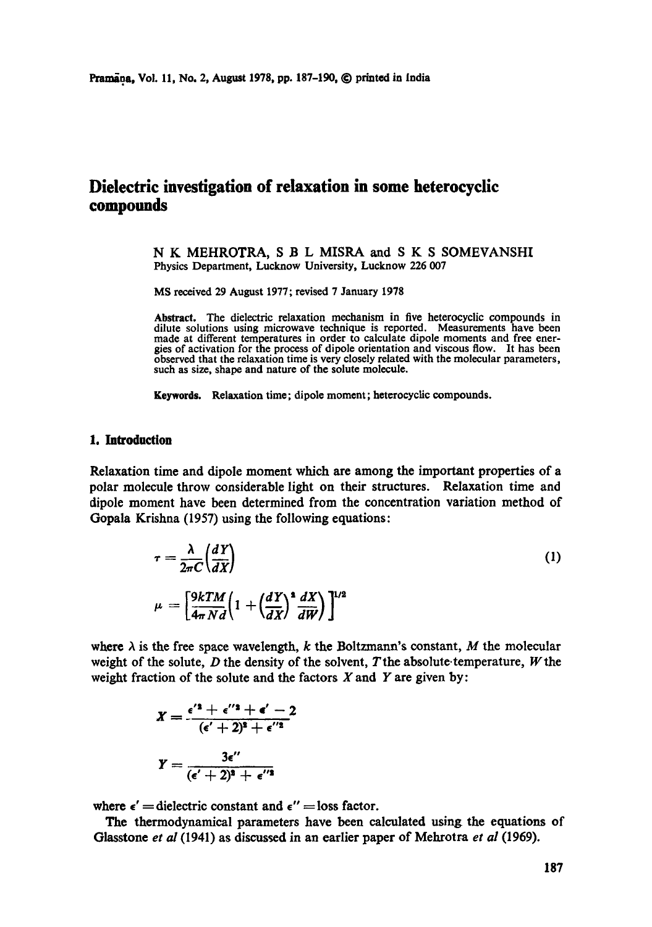# **Dielectric investigation of relaxation in some heterocyclic compounds**

N K MEHROTRA, S B L MISRA and S K S SOMEVANSHI Physics Department, Lucknow University, Lucknow 226 007

MS received 29 August 1977; revised 7 January 1978

**Abstract.** The dielectric relaxation mechanism in five heterocyclic compounds in dilute solutions using microwave technique is reported. Measurements have been made at different temperatures in order to calculate dipole moments and free energies of activation for the process of dipole orientation and viscous flow. It has been observed that the relaxation time is very closely related with the molecular parameters, such as size, shape and nature of the solute molecule.

**Keywords.** Relaxation time; dipole moment; heterocyclic compounds.

## **1. Introduction**

Relaxation time and dipole moment which are among the important properties of a polar molecule throw considerable light on their structures. Relaxation time and dipole moment have been determined from the concentration variation method of Gopala Krishna (1957) using the following equations:

$$
\tau = \frac{\lambda}{2\pi C} \left(\frac{dY}{dX}\right)
$$
  

$$
\mu = \left[\frac{9kTM}{4\pi Nd} \left(1 + \left(\frac{dY}{dX}\right)^2 \frac{dX}{dW}\right)\right]^{1/2}
$$
 (1)

where  $\lambda$  is the free space wavelength, k the Boltzmann's constant, M the molecular weight of the solute,  $D$  the density of the solvent,  $T$  the absolute temperature,  $W$  the weight fraction of the solute and the factors  $X$  and  $Y$  are given by:

$$
X = \frac{\epsilon'^2 + \epsilon'^{\prime 3} + \epsilon' - 2}{(\epsilon' + 2)^2 + \epsilon^{\prime\prime 2}}
$$

$$
Y = \frac{3\epsilon''}{(\epsilon' + 2)^2 + \epsilon^{\prime\prime 2}}
$$

where  $\epsilon'$  = dielectric constant and  $\epsilon''$  = loss factor.

**The** thermodynamical parameters have been calculated using the equations of Glasstone *et al* (1941) as discussed in an earlier paper of Mehrotra *et a!* (1969).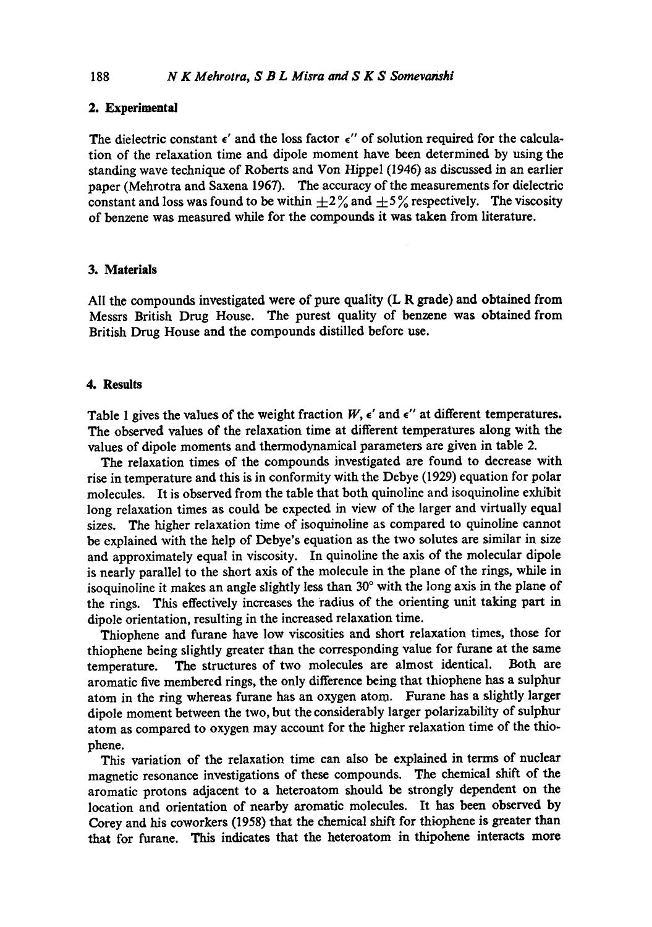# **2. Experimental**

The dielectric constant  $\epsilon'$  and the loss factor  $\epsilon''$  of solution required for the calculation of the relaxation time and dipole moment have been determined by using the standing wave technique of Roberts and Von Hippel (1946) as discussed in an earlier paper (Mehrotra and Saxena 1967). The accuracy of the measurements for dielectric constant and loss was found to be within  $\pm 2\%$  and  $\pm 5\%$  respectively. The viscosity of benzene was measured while for the compounds it was taken from literature.

## **3. Materials**

All the compounds investigated were of pure quality (L R grade) and obtained from Messrs British Drug House. The purest quality of benzene was obtained from British Drug House and the compounds distilled before use.

## **4. Results**

Table 1 gives the values of the weight fraction  $W$ ,  $\epsilon'$  and  $\epsilon''$  at different temperatures. The observed values of the relaxation time at different temperatures along with the values of dipole moments and thermodynamical parameters are given in table 2.

The relaxation times of the compounds investigated are found to decrease with rise in temperature and this is in conformity with the Debye (1929) equation for polar molecules. It is observed from the table that both quinoline and isoquinoline exhibit long relaxation times as could be expected in view of the larger and virtually equal sizes. The higher relaxation time of isoquinoline as compared to quinoline cannot be explained with the help of Debye's equation as the two solutes are similar in size and approximately equal in viscosity. In quinoline the axis of the molecular dipole is nearly parallel to the short axis of the molecule in the plane of the rings, while in isoquinoline it makes an angle slightly less than  $30^{\circ}$  with the long axis in the plane of the rings. This effectively increases the radius of the orienting unit taking part in dipole orientation, resulting in the increased relaxation time.

Thiophene and furane have low viscosities and short relaxation times, those for thiophene being slightly greater than the corresponding value for furane at the same temperature. The structures of two molecules are almost identical. Both are aromatic five membered rings, the only difference being that thiophene has a sulphur atom in the ring whereas furane has an oxygen atom. Furane has a slightly larger dipole moment between the two, but the considerably larger polarizability of sulphur atom as compared to oxygen may account for the higher relaxation time of the thiophene.

This variation of the relaxation time can also be explained in terms of nuclear magnetic resonance investigations of these compounds. The chemical shift of the aromatic protons adjacent to a heteroatom should be strongly dependent on the location and orientation of nearby aromatic molecules. It has been observed by Corey and his coworkers (1958) that the chemical shift for thiopbene is greater than that for furane. This indicates that the heteroatom in thipohene interacts more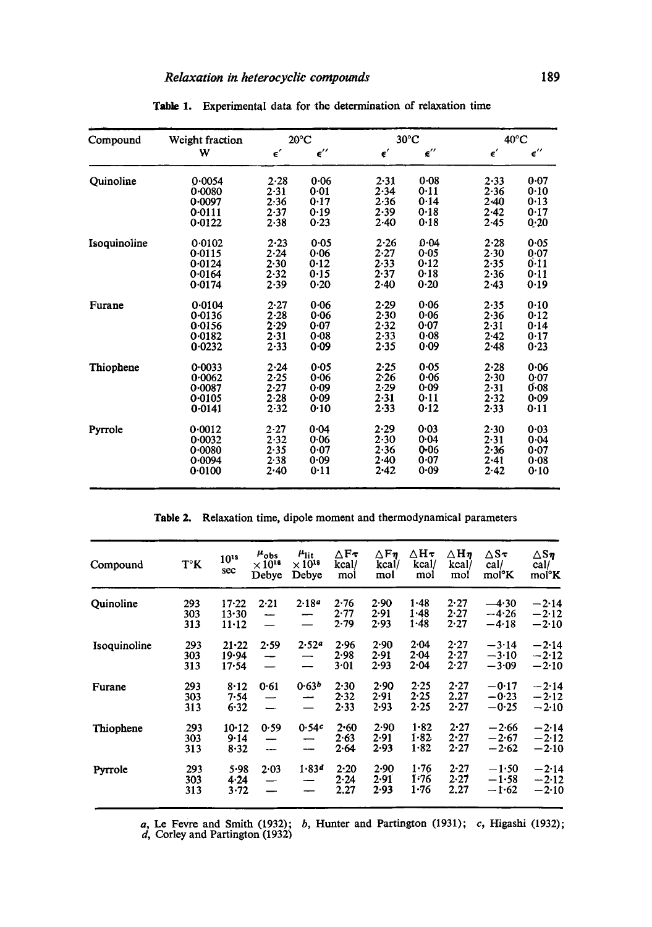| Weight fraction | $20^{\circ}$ C                       |                                                                      |                              |                           | $40^{\circ}$ C                         |                                              |
|-----------------|--------------------------------------|----------------------------------------------------------------------|------------------------------|---------------------------|----------------------------------------|----------------------------------------------|
| W               | $\epsilon'$                          | $\epsilon^{\prime\prime}$                                            | $\epsilon'$                  | $\epsilon^{\prime\prime}$ | $\pmb{\epsilon}'$                      | $\epsilon^{\prime\prime}$                    |
| 0.0054          | 2.28                                 | 0.06                                                                 | 2.31                         | 0.08                      | 2.33                                   | 0.07                                         |
| 0.0080          | 2.31                                 | 0.01                                                                 | 2.34                         | 0.11                      |                                        | 0.10                                         |
| 0.0097          |                                      | 0.17                                                                 | 2.36                         |                           | $2-40$                                 | 0.13                                         |
|                 |                                      |                                                                      |                              |                           |                                        | 0.17                                         |
| 0.0122          |                                      |                                                                      | $2 - 40$                     |                           |                                        | 0.20                                         |
| 0.0102          | $2 - 23$                             | 0.05                                                                 | 2.26                         | 0.04                      | 2.28                                   | 0.05                                         |
| 0.0115          | $2 - 24$                             | 0.06                                                                 | 2.27                         | 0.05                      | 2.30                                   | 0.07                                         |
| 0.0124          | 2.30                                 | 0.12                                                                 | 2.33                         | 0.12                      | $2 - 35$                               | 0-11                                         |
| 0.0164          | 2.32                                 | 0.15                                                                 | 2.37                         | 0.18                      | 2.36                                   | 0.11                                         |
| 0.0174          | $2 - 39$                             | 0.20                                                                 | 2.40                         | $0 - 20$                  | 2.43                                   | 0.19                                         |
|                 |                                      | 0.06                                                                 | 2.29                         | 0.06                      |                                        | 0.10                                         |
| 0.0136          | $2 - 28$                             | 0.06                                                                 | 2.30                         | 0.06                      | 2.36                                   | 0.12                                         |
| 0.0156          | $2 - 29$                             | 0.07                                                                 | 2.32                         | 0.07                      | 2.31                                   | 0.14                                         |
| 0.0182          | 2.31                                 | $0 - 08$                                                             | 2.33                         | 0.08                      | 2.42                                   | 0.17                                         |
| 0.0232          | $2 - 33$                             | 0.09                                                                 | 2.35                         | 0.09                      | 2.48                                   | 0.23                                         |
|                 |                                      | 0.05                                                                 | 2.25                         | 0.05                      | $2 - 28$                               | 0.06                                         |
| 0.0062          |                                      | 0.06                                                                 | 2.26                         | 0.06                      | $2 - 30$                               | 0.07                                         |
| 0.0087          |                                      | 0.09                                                                 |                              | 0.09                      | $2 - 31$                               | 0.08                                         |
| 0.0105          | $2 - 28$                             | 0.09                                                                 | $2 - 31$                     | 0.11                      | 2.32                                   | $0 - 09$                                     |
| 0.0141          | $2 - 32$                             | 0.10                                                                 | 2.33                         | 0.12                      | 2.33                                   | 0.11                                         |
|                 |                                      |                                                                      | 2.29                         | 0.03                      |                                        | 0.03                                         |
| 0.0032          | 2.32                                 |                                                                      | $2 - 30$                     | 0.04                      | 2.31                                   | 0.04                                         |
| 0.0080          | 2.35                                 | 0.07                                                                 | 2.36                         | 0.06                      |                                        | 0.07                                         |
| 0.0094          | 2.38                                 | 0.09                                                                 | 2.40                         | 0.07                      | 2.41                                   | 0.08                                         |
| 0.0100          | 2.40                                 | 0.11                                                                 | 2.42                         | 0.09                      | 2.42                                   | 0.10                                         |
|                 | 0.0111<br>0.0104<br>0.0033<br>0.0012 | 2.36<br>2.37<br>2.38<br>2.27<br>$2 - 24$<br>2.25<br>$2 - 27$<br>2.27 | 0.19<br>0.23<br>0.04<br>0.06 | 2.39<br>2.29              | $30^{\circ}$ C<br>0.14<br>0.18<br>0.18 | 2.36<br>2.42<br>2.45<br>2.35<br>2.30<br>2.36 |

Table 1. Experimental data for the determination of relaxation time

Table 2. Relaxation time, dipole moment and thermodynamical parameters

| ∆Fτ<br>∆Hτ<br>$\triangle$ Fn<br>$\mu_{\rm lit}$<br>$\mu_{obs}$<br>$10^{12}$<br>T°K<br>$\times 10^{18}$<br>$\times 10^{16}$<br>kcal/<br>kcal/<br>Compound<br>kcal/<br>sec<br>Debye<br>Debye<br>mol<br>mol<br>mol<br>2.90<br>1.48<br>2.18a<br>2.76<br>Quinoline<br>293<br>$17-22$<br>2.21<br>$1 - 48$<br>2.77<br>2.91<br>303<br>13.30<br>$\overline{\phantom{0}}$<br>1.48<br>$2 - 79$<br>2.93<br>313<br>$11 - 12$<br>2.52 <sup>a</sup><br>2.96<br>2.90<br>2.04<br>293<br>2.59<br>$21 - 22$<br>Isoquinoline<br>2.04<br>2.98<br>2.91<br>303<br>19.94<br>$-$<br>—<br>2.93<br>$2 - 04$<br>3.01<br>313<br>17.54<br>----<br>0.63 <sup>b</sup><br>2.25<br>2.90<br>2.30<br>293<br>0.61<br>8.12<br>Furane<br>2.25<br>2.32<br>2.91<br>303<br>7.54<br>$\overline{\phantom{0}}$<br>فتعبد<br>2.25<br>2.93<br>2.33<br>313<br>6.32<br>$\overline{\phantom{0}}$<br>$1 - 82$<br>2.90<br>0.54c<br>2.60<br>293<br>0.59<br>10.12<br>Thiophene<br>1.82<br>2.91<br>2.63<br>303<br>9.14<br>$\overline{\phantom{0}}$<br>1.82<br>2.93<br>2.64<br>313<br>8.32<br>$\overline{\phantom{0}}$<br>---<br>1.76<br>2.90<br>1.834<br>2.20<br>293<br>5.98<br>2.03<br>Pyrrole |  |  |      |      |      |                          |                                   |                                       |
|-----------------------------------------------------------------------------------------------------------------------------------------------------------------------------------------------------------------------------------------------------------------------------------------------------------------------------------------------------------------------------------------------------------------------------------------------------------------------------------------------------------------------------------------------------------------------------------------------------------------------------------------------------------------------------------------------------------------------------------------------------------------------------------------------------------------------------------------------------------------------------------------------------------------------------------------------------------------------------------------------------------------------------------------------------------------------------------------------------------------------------------------|--|--|------|------|------|--------------------------|-----------------------------------|---------------------------------------|
|                                                                                                                                                                                                                                                                                                                                                                                                                                                                                                                                                                                                                                                                                                                                                                                                                                                                                                                                                                                                                                                                                                                                         |  |  |      |      |      | ∆Нп<br>kcal/<br>mol      | ∆S≂<br>cal/<br>mol <sup>o</sup> K | $\triangle$ S $\eta$<br>cal/<br>mol°K |
|                                                                                                                                                                                                                                                                                                                                                                                                                                                                                                                                                                                                                                                                                                                                                                                                                                                                                                                                                                                                                                                                                                                                         |  |  |      |      |      | 2.27<br>2.27<br>2.27     | $-4.30$<br>$-4.26$<br>$-4.18$     | $-2.14$<br>$-2.12$<br>$-2.10$         |
|                                                                                                                                                                                                                                                                                                                                                                                                                                                                                                                                                                                                                                                                                                                                                                                                                                                                                                                                                                                                                                                                                                                                         |  |  |      |      |      | 2.27<br>2.27<br>2.27     | $-3.14$<br>$-3.10$<br>$-3.09$     | $-2.14$<br>$-2.12$<br>$-2.10$         |
|                                                                                                                                                                                                                                                                                                                                                                                                                                                                                                                                                                                                                                                                                                                                                                                                                                                                                                                                                                                                                                                                                                                                         |  |  |      |      |      | 2.27<br>2.27<br>$2 - 27$ | $-0.17$<br>$-0.23$<br>$-0.25$     | $-2.14$<br>$-2.12$<br>$-2.10$         |
|                                                                                                                                                                                                                                                                                                                                                                                                                                                                                                                                                                                                                                                                                                                                                                                                                                                                                                                                                                                                                                                                                                                                         |  |  |      |      |      | 2.27<br>2.27<br>2.27     | $-2.66$<br>$-2.67$<br>$-2.62$     | $-2.14$<br>$-2.12$<br>$-2.10$         |
| 303<br>4.24<br>$\overline{\phantom{0}}$<br>$1 - 76$<br>2.27<br>2.93<br>313<br>3.72                                                                                                                                                                                                                                                                                                                                                                                                                                                                                                                                                                                                                                                                                                                                                                                                                                                                                                                                                                                                                                                      |  |  | 2.24 | 2.91 | 1.76 | $2 - 27$<br>2.27<br>2.27 | $-1.50$<br>$-1.58$<br>$-1.62$     | $-2.14$<br>$-2.12$<br>$-2.10$         |

a, Le Fevre and Smith (1932); b, Hunter and Partington (1931); c, Higashi (1932); d, Corley and Partington (1932)